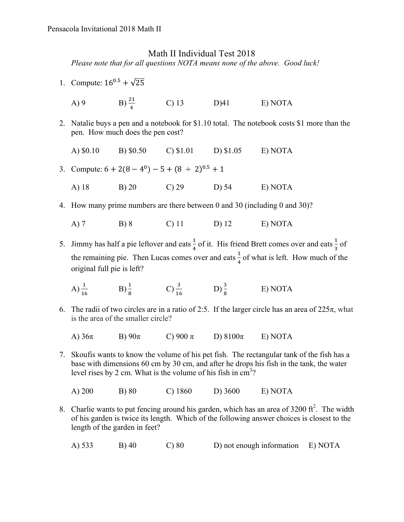## Math II Individual Test 2018

*Please note that for all questions NOTA means none of the above. Good luck!* 

- 1. Compute:  $16^{0.5} + \sqrt{25}$ 
	- A) 9 B)  $\frac{21}{4}$  C) 13 D) 41 E) NOTA
- 2. Natalie buys a pen and a notebook for \$1.10 total. The notebook costs \$1 more than the pen. How much does the pen cost?
	- A) \$0.10 B) \$0.50 C) \$1.01 D) \$1.05 E) NOTA
- 3. Compute:  $6 + 2(8 4^0) 5 + (8 \div 2)^{0.5} + 1$ 
	- A) 18 B) 20 C) 29 D) 54 E) NOTA
- 4. How many prime numbers are there between 0 and 30 (including 0 and 30)?
	- A) 7 B) 8 C) 11 D) 12 E) NOTA
- 5. Jimmy has half a pie leftover and eats  $\frac{1}{4}$  of it. His friend Brett comes over and eats  $\frac{1}{3}$  of the remaining pie. Then Lucas comes over and eats  $\frac{1}{4}$  of what is left. How much of the original full pie is left?
	- A)  $\frac{1}{16}$  B)  $\frac{1}{8}$  C)  $\frac{3}{16}$  D)  $\frac{3}{8}$  E) NOTA
- 6. The radii of two circles are in a ratio of 2:5. If the larger circle has an area of  $225\pi$ , what is the area of the smaller circle?
	- A) 36π B) 90π C) 900 π D) 8100π E) NOTA
- 7. Skoufis wants to know the volume of his pet fish. The rectangular tank of the fish has a base with dimensions 60 cm by 30 cm, and after he drops his fish in the tank, the water level rises by 2 cm. What is the volume of his fish in  $cm<sup>3</sup>$ ?
	- A) 200 B) 80 C) 1860 D) 3600 E) NOTA
- 8. Charlie wants to put fencing around his garden, which has an area of  $3200 \text{ ft}^2$ . The width of his garden is twice its length. Which of the following answer choices is closest to the length of the garden in feet?
	- A) 533 B) 40 C) 80 D) not enough information E) NOTA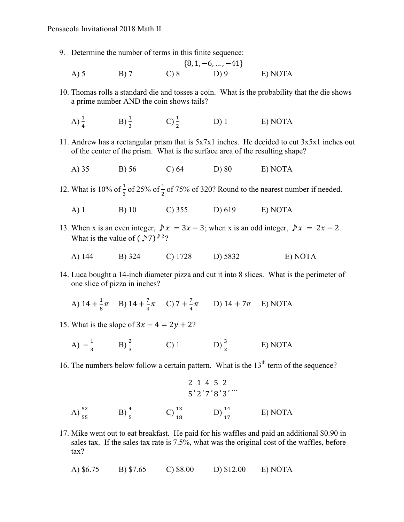9. Determine the number of terms in this finite sequence:

{8, 1, −6, … , −41} A) 5 B) 7 C) 8 D) 9 E) NOTA

- 10. Thomas rolls a standard die and tosses a coin. What is the probability that the die shows a prime number AND the coin shows tails?
	- A)  $\frac{1}{4}$  $\mathrm{B)}\frac{1}{2}$  $\rm C) \frac{1}{2}$  $D) 1$  E) NOTA
- 11. Andrew has a rectangular prism that is 5x7x1 inches. He decided to cut 3x5x1 inches out of the center of the prism. What is the surface area of the resulting shape?
	- A) 35 B) 56 C) 64 D) 80 E) NOTA
- 12. What is 10% of  $\frac{1}{3}$  of 25% of  $\frac{1}{2}$  of 75% of 320? Round to the nearest number if needed.
	- A) 1 B) 10 C) 355 D) 619 E) NOTA
- 13. When x is an even integer,  $\triangleright x = 3x 3$ ; when x is an odd integer,  $\triangleright x = 2x 2$ . What is the value of  $(27)^{22}$ ?
	- A) 144 B) 324 C) 1728 D) 5832 E) NOTA
- 14. Luca bought a 14-inch diameter pizza and cut it into 8 slices. What is the perimeter of one slice of pizza in inches?

A) 
$$
14 + \frac{1}{8}\pi
$$
 B)  $14 + \frac{7}{4}\pi$  C)  $7 + \frac{7}{4}\pi$  D)  $14 + 7\pi$  E) NOTA

- 15. What is the slope of  $3x 4 = 2y + 2$ ?
	- A)  $-\frac{1}{3}$  B)  $\frac{2}{3}$  C) 1 D)  $\frac{3}{2}$  E) NOTA
- 16. The numbers below follow a certain pattern. What is the  $13<sup>th</sup>$  term of the sequence?

$$
\frac{2}{5}, \frac{1}{2}, \frac{4}{7}, \frac{5}{8}, \frac{2}{3}, ...
$$
  
\nA)  $\frac{52}{55}$  \tB)  $\frac{4}{5}$  \tC)  $\frac{13}{18}$  \tD)  $\frac{14}{17}$  \tE) NOTA

17. Mike went out to eat breakfast. He paid for his waffles and paid an additional \$0.90 in sales tax. If the sales tax rate is 7.5%, what was the original cost of the waffles, before tax?

A) \$6.75 B) \$7.65 C) \$8.00 D) \$12.00 E) NOTA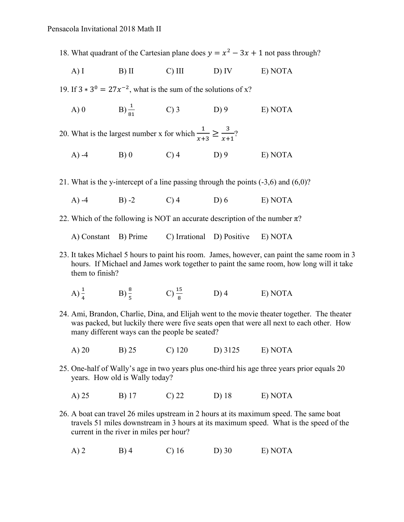18. What quadrant of the Cartesian plane does  $y = x^2 - 3x + 1$  not pass through?

A) I B) II C) III D) IV E) NOTA

19. If  $3 \times 3^0 = 27x^{-2}$ , what is the sum of the solutions of x?

A) 0 B)  $\frac{1}{81}$  $(D) 3$  D) 9 E) NOTA

20. What is the largest number x for which  $\frac{1}{x+3} \ge \frac{3}{x+1}$ ?

A) -4 B) 0 C) 4 D) 9 E) NOTA

21. What is the y-intercept of a line passing through the points (-3,6) and (6,0)?

- A) -4 B) -2 C) 4 D) 6 E) NOTA
- 22. Which of the following is NOT an accurate description of the number  $\pi$ ?

A) Constant B) Prime C) Irrational D) Positive E) NOTA

- 23. It takes Michael 5 hours to paint his room. James, however, can paint the same room in 3 hours. If Michael and James work together to paint the same room, how long will it take them to finish?
	- A)  $\frac{1}{4}$  $\frac{1}{4}$  B)  $\frac{8}{5}$  C)  $\frac{15}{8}$  D) 4 E) NOTA
- 24. Ami, Brandon, Charlie, Dina, and Elijah went to the movie theater together. The theater was packed, but luckily there were five seats open that were all next to each other. How many different ways can the people be seated?
	- A) 20 B) 25 C) 120 D) 3125 E) NOTA
- 25. One-half of Wally's age in two years plus one-third his age three years prior equals 20 years. How old is Wally today?
	- A) 25 B) 17 C) 22 D) 18 E) NOTA
- 26. A boat can travel 26 miles upstream in 2 hours at its maximum speed. The same boat travels 51 miles downstream in 3 hours at its maximum speed. What is the speed of the current in the river in miles per hour?
	- A) 2 B) 4 C) 16 D) 30 E) NOTA